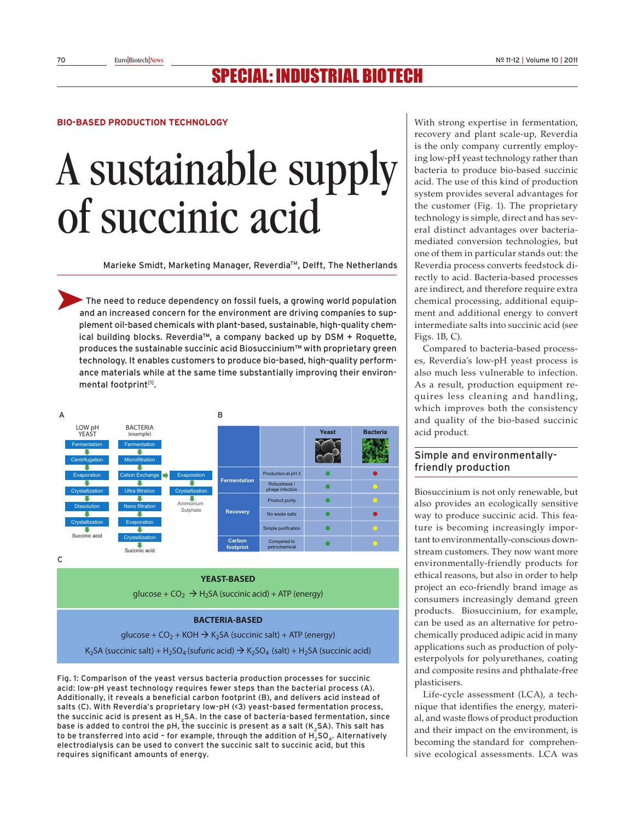# Special: induStrial Biotech

#### **Bio-Based Production technology**

# A sustainable supply of succinic acid

Marieke Smidt, Marketing Manager, Reverdia™, Delft, The Netherlands

 The need to reduce dependency on fossil fuels, a growing world population and an increased concern for the environment are driving companies to supplement oil-based chemicals with plant-based, sustainable, high-quality chemical building blocks. Reverdia™, a company backed up by DSM + Roquette, produces the sustainable succinic acid Biosuccinium™ with proprietary green technology. It enables customers to produce bio-based, high-quality performance materials while at the same time substantially improving their environmental footprint<sup>[1]</sup>.



C

#### **YEAST-BASED**

glucose +  $CO<sub>2</sub>$   $\rightarrow$  H<sub>2</sub>SA (succinic acid) + ATP (energy)

#### **BACTERIA-BASED**

glucose +  $CO<sub>2</sub>$  + KOH  $\rightarrow$  K<sub>2</sub>SA (succinic salt) + ATP (energy)

K<sub>2</sub>SA (succinic salt) + H<sub>2</sub>SO<sub>4</sub> (sufuric acid)  $\rightarrow$  K<sub>2</sub>SO<sub>4</sub> (salt) + H<sub>2</sub>SA (succinic acid)

Fig. 1: Comparison of the yeast versus bacteria production processes for succinic acid: low-pH yeast technology requires fewer steps than the bacterial process (A). Additionally, it reveals a beneficial carbon footprint (B), and delivers acid instead of salts (C). With Reverdia's proprietary low-pH (<3) yeast-based fermentation process, the succinic acid is present as H2SA. In the case of bacteria-based fermentation, since base is added to control the pH, the succinic is present as a salt  $(K, SA)$ . This salt has to be transferred into acid - for example, through the addition of  $H_5SO_4$ . Alternatively electrodialysis can be used to convert the succinic salt to succinic acid, but this requires significant amounts of energy.

With strong expertise in fermentation, recovery and plant scale-up, Reverdia is the only company currently employing low-pH yeast technology rather than bacteria to produce bio-based succinic acid. The use of this kind of production system provides several advantages for the customer (Fig. 1). The proprietary technology is simple, direct and has several distinct advantages over bacteriamediated conversion technologies, but one of them in particular stands out: the Reverdia process converts feedstock directly to acid. Bacteria-based processes are indirect, and therefore require extra chemical processing, additional equipment and additional energy to convert intermediate salts into succinic acid (see Figs. 1B, C).

Compared to bacteria-based processes, Reverdia's low-pH yeast process is also much less vulnerable to infection. As a result, production equipment requires less cleaning and handling, which improves both the consistency and quality of the bio-based succinic acid product.

# Simple and environmentallyfriendly production

Biosuccinium is not only renewable, but also provides an ecologically sensitive way to produce succinic acid. This feature is becoming increasingly important to environmentally-conscious downstream customers. They now want more environmentally-friendly products for ethical reasons, but also in order to help project an eco-friendly brand image as consumers increasingly demand green products. Biosuccinium, for example, can be used as an alternative for petrochemically produced adipic acid in many applications such as production of polyesterpolyols for polyurethanes, coating and composite resins and phthalate-free plasticisers.

Life-cycle assessment (LCA), a technique that identifies the energy, material, and waste flows of product production and their impact on the environment, is becoming the standard for comprehensive ecological assessments. LCA was